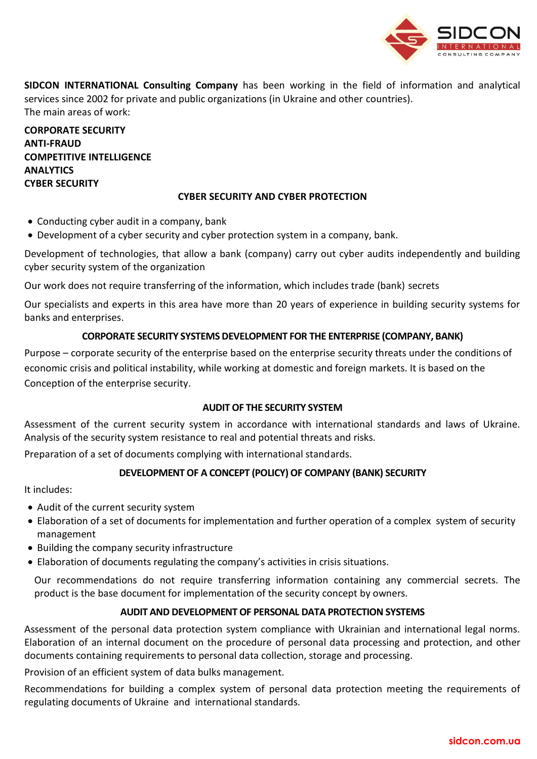

**SIDCON INTERNATIONAL Consulting Company** has been working in the field of information and analytical services since 2002 for private and public organizations (in Ukraine and other countries). The main areas of work:

**CORPORATE SECURITY ANTI-FRAUD COMPETITIVE INTELLIGENCE ANALYTICS CYBER SECURITY**

## **CYBER SECURITY AND CYBER PROTECTION**

- Conducting cyber audit in a company, bank
- Development of a cyber security and cyber protection system in a company, bank.

Development of technologies, that allow a bank (company) carry out cyber audits independently and building cyber security system of the organization

Our work does not require transferring of the information, which includes trade (bank) secrets

Our specialists and experts in this area have more than 20 years of experience in building security systems for banks and enterprises.

## **CORPORATE SECURITY SYSTEMS DEVELOPMENT FOR THE ENTERPRISE (COMPANY, BANK)**

Purpose – corporate security of the enterprise based on the enterprise security threats under the conditions of economic crisis and political instability, while working at domestic and foreign markets. It is based on the Conception of the enterprise security.

# **AUDIT OF THE SECURITY SYSTEM**

Assessment of the current security system in accordance with international standards and laws of Ukraine. Analysis of the security system resistance to real and potential threats and risks.

Preparation of a set of documents complying with international standards.

# **DEVELOPMENT OF A CONCEPT (POLICY) OF COMPANY (BANK) SECURITY**

It includes:

- Audit of the current security system
- Elaboration of a set of documents for implementation and further operation of a complex system of security management
- Building the company security infrastructure
- Elaboration of documents regulating the company's activities in crisis situations.

Our recommendations do not require transferring information containing any commercial secrets. The product is the base document for implementation of the security concept by owners.

### **AUDIT AND DEVELOPMENT OF PERSONAL DATA PROTECTION SYSTEMS**

Assessment of the personal data protection system compliance with Ukrainian and international legal norms. Elaboration of an internal document on the procedure of personal data processing and protection, and other documents containing requirements to personal data collection, storage and processing.

Provision of an efficient system of data bulks management.

Recommendations for building a complex system of personal data protection meeting the requirements of regulating documents of Ukraine and international standards.